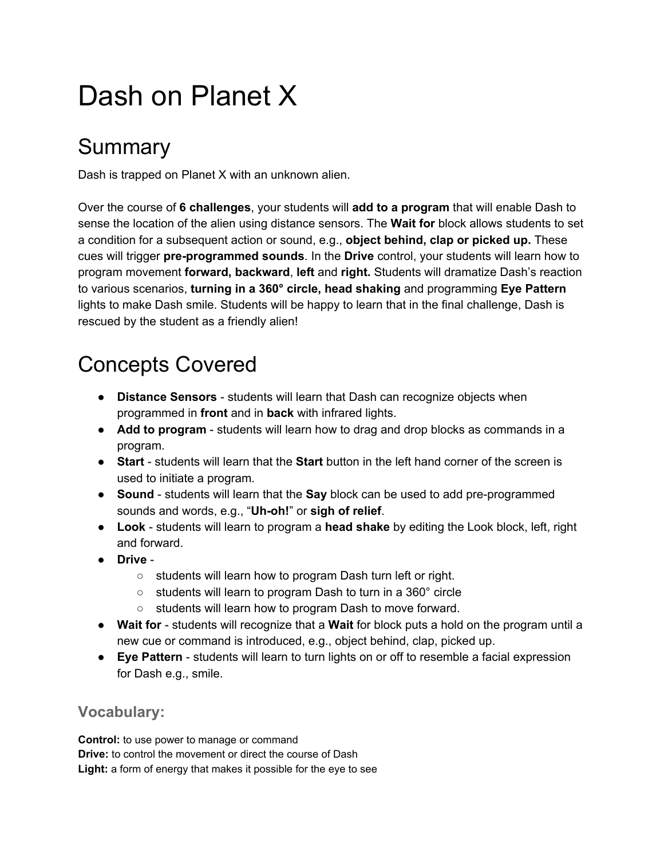# Dash on Planet X

## Summary

Dash is trapped on Planet X with an unknown alien.

Over the course of **6 challenges**, your students will **add to a program** that will enable Dash to sense the location of the alien using distance sensors. The **Wait for** block allows students to set a condition for a subsequent action or sound, e.g., **object behind, clap or picked up.** These cues will trigger pre-programmed sounds. In the Drive control, your students will learn how to program movement **forward, backward**, **left** and **right.** Students will dramatize Dash's reaction to various scenarios, **turning in a 360° circle, head shaking** a nd programming **Eye Pattern** lights to make Dash smile. Students will be happy to learn that in the final challenge, Dash is rescued by the student as a friendly alien!

## Concepts Covered

- **Distance Sensors** students will learn that Dash can recognize objects when programmed in **front** and in **back** with infrared lights.
- Add to program students will learn how to drag and drop blocks as commands in a program.
- **Start** students will learn that the **Start** button in the left hand corner of the screen is used to initiate a program.
- Sound students will learn that the Say block can be used to add pre-programmed sounds and words, e.g., "**Uhoh!**" or **sigh of relief**.
- **•** Look students will learn to program a head shake by editing the Look block, left, right and forward.
- **Drive**
	- students will learn how to program Dash turn left or right.
	- students will learn to program Dash to turn in a 360° circle
	- students will learn how to program Dash to move forward.
- **Wait for**  students will recognize that a **Wait** for block puts a hold on the program until a new cue or command is introduced, e.g., object behind, clap, picked up.
- **Eye Pattern** students will learn to turn lights on or off to resemble a facial expression for Dash e.g., smile.

### **Vocabulary:**

**Control:** to use power to manage or command **Drive:** to control the movement or direct the course of Dash **Light:** a form of energy that makes it possible for the eye to see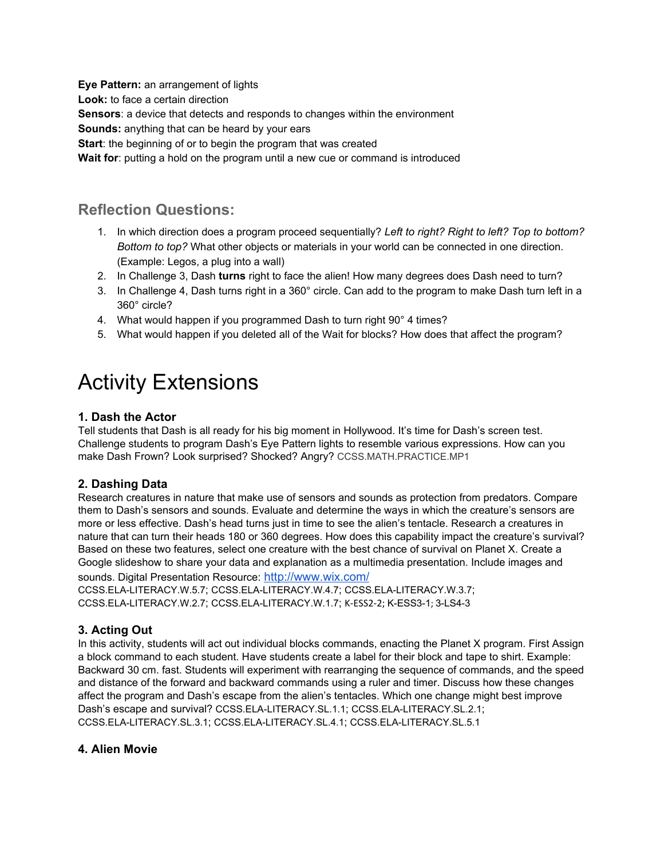**Eye Pattern:** an arrangement of lights **Look:** to face a certain direction **Sensors**: a device that detects and responds to changes within the environment **Sounds:** anything that can be heard by your ears **Start**: the beginning of or to begin the program that was created **Wait for**: putting a hold on the program until a new cue or command is introduced

### **Reflection Questions:**

- 1. In which direction does a program proceed sequentially? *Left to right? Right to left? Top to bottom? Bottom to top?* What other objects or materials in your world can be connected in one direction. (Example: Legos, a plug into a wall)
- 2. In Challenge 3, Dash **turns** right to face the alien! How many degrees does Dash need to turn?
- 3. In Challenge 4, Dash turns right in a 360° circle. Can add to the program to make Dash turn left in a 360° circle?
- 4. What would happen if you programmed Dash to turn right 90° 4 times?
- 5. What would happen if you deleted all of the Wait for blocks? How does that affect the program?

## Activity Extensions

#### **1. Dash the Actor**

Tell students that Dash is all ready for his big moment in Hollywood. It's time for Dash's screen test. Challenge students to program Dash's Eye Pattern lights to resemble various expressions. How can you make Dash Frown? Look surprised? Shocked? Angry? [CCSS.MATH.PRACTICE.MP1](http://www.corestandards.org/Math/Practice/MP1/)

#### **2. Dashing Data**

Research creatures in nature that make use of sensors and sounds as protection from predators. Compare them to Dash's sensors and sounds. Evaluate and determine the ways in which the creature's sensors are more or less effective. Dash's head turns just in time to see the alien's tentacle. Research a creatures in nature that can turn their heads 180 or 360 degrees. How does this capability impact the creature's survival? Based on these two features, select one creature with the best chance of survival on Planet X. Create a Google slideshow to share your data and explanation as a multimedia presentation. Include images and sounds. Digital Presentation Resource: <http://www.wix.com/>

[CCSS.ELALITERACY.W.5.7](http://www.corestandards.org/ELA-Literacy/W/5/7/); [CCSS.ELALITERACY.W.4.7](http://www.corestandards.org/ELA-Literacy/W/4/7/); [CCSS.ELALITERACY.W.3.7](http://www.corestandards.org/ELA-Literacy/W/3/7/); CCSS.ELA-LITERACY.W.2.7; CCSS.ELA-LITERACY.W.1.7; K-ESS2-2; K-ESS3-1; 3-LS4-3

#### **3. Acting Out**

In this activity, students will act out individual blocks commands, enacting the Planet X program. First Assign a block command to each student. Have students create a label for their block and tape to shirt. Example: Backward 30 cm. fast. Students will experiment with rearranging the sequence of commands, and the speed and distance of the forward and backward commands using a ruler and timer. Discuss how these changes affect the program and Dash's escape from the alien's tentacles. Which one change might best improve Dash's escape and survival? [CCSS.ELALITERACY.SL.1.1](http://www.corestandards.org/ELA-Literacy/SL/5/1/); [CCSS.ELALITERACY.SL.2.1](http://www.corestandards.org/ELA-Literacy/SL/5/1/); [CCSS.ELALITERACY.SL.3.1](http://www.corestandards.org/ELA-Literacy/SL/5/1/); [CCSS.ELALITERACY.SL.4.1](http://www.corestandards.org/ELA-Literacy/SL/5/1/); [CCSS.ELALITERACY.SL.5.1](http://www.corestandards.org/ELA-Literacy/SL/5/1/)

#### **4. Alien Movie**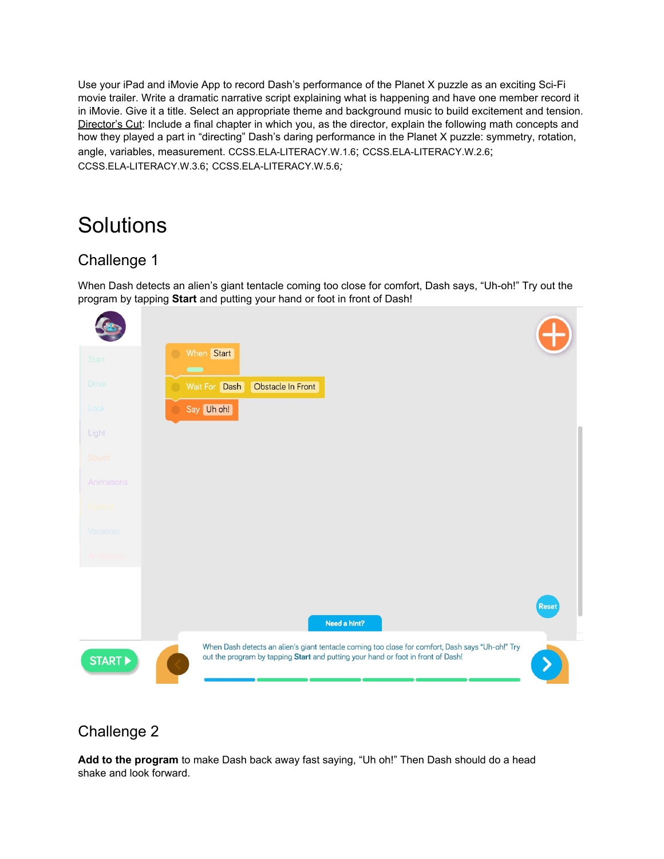Use your iPad and iMovie App to record Dash's performance of the Planet X puzzle as an exciting Sci-Fi movie trailer. Write a dramatic narrative script explaining what is happening and have one member record it in iMovie. Give it a title. Select an appropriate theme and background music to build excitement and tension. Director's Cut: Include a final chapter in which you, as the director, explain the following math concepts and how they played a part in "directing" Dash's daring performance in the Planet X puzzle: symmetry, rotation, angle, variables, measurement. [CCSS.ELALITERACY.W.1.6](http://www.corestandards.org/ELA-Literacy/W/1/6/); [CCSS.ELALITERACY.W.2.6](http://www.corestandards.org/ELA-Literacy/W/2/6/); [CCSS.ELALITERACY.W.3.6](http://www.corestandards.org/ELA-Literacy/W/3/6/); [CCSS.ELALITERACY.W.5.6](http://www.corestandards.org/ELA-Literacy/W/5/6/)*;*

## **Solutions**

### Challenge 1

When Dash detects an alien's giant tentacle coming too close for comfort, Dash says, "Uh-oh!" Try out the program by tapping **Start** and putting your hand or foot in front of Dash!



### Challenge 2

**Add to the program** to make Dash back away fast saying, "Uh oh!" Then Dash should do a head shake and look forward.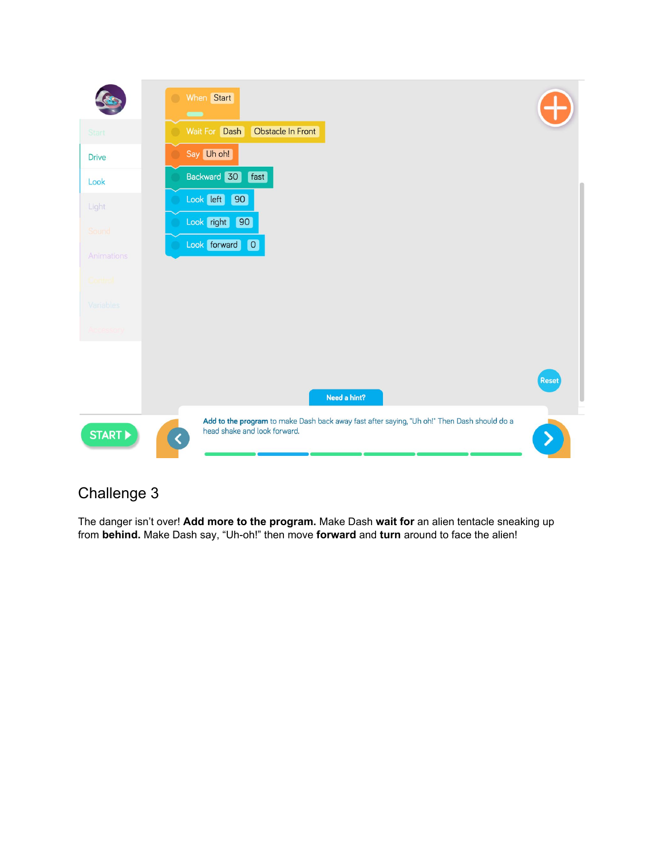

The danger isn't over! **Add more to the program.** Make Dash **wait for** an alien tentacle sneaking up from behind. Make Dash say, "Uh-oh!" then move forward and turn around to face the alien!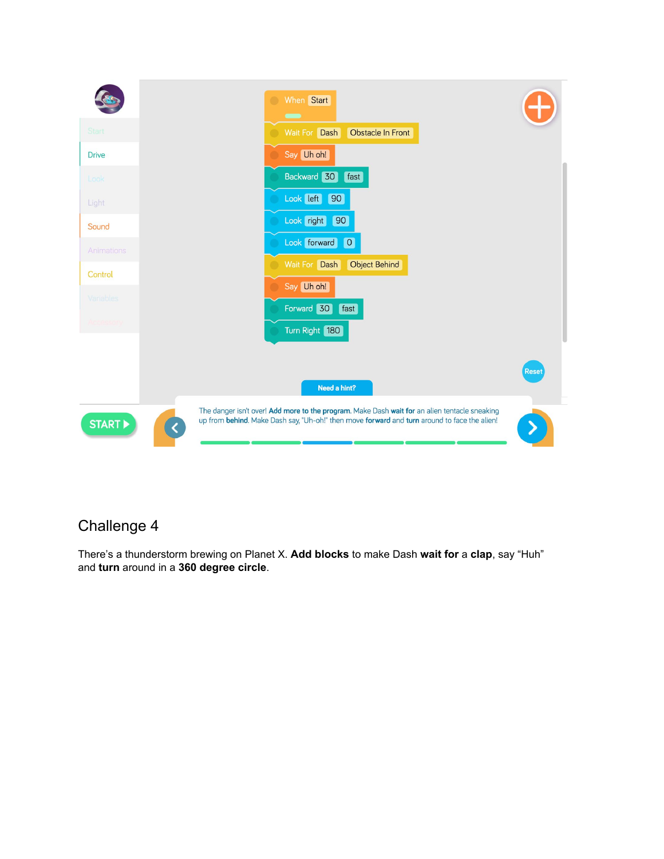

There's a thunderstorm brewing on Planet X. **Add blocks** to make Dash **wait for** a **clap**, say "Huh" and **turn** around in a **360 degree circle**.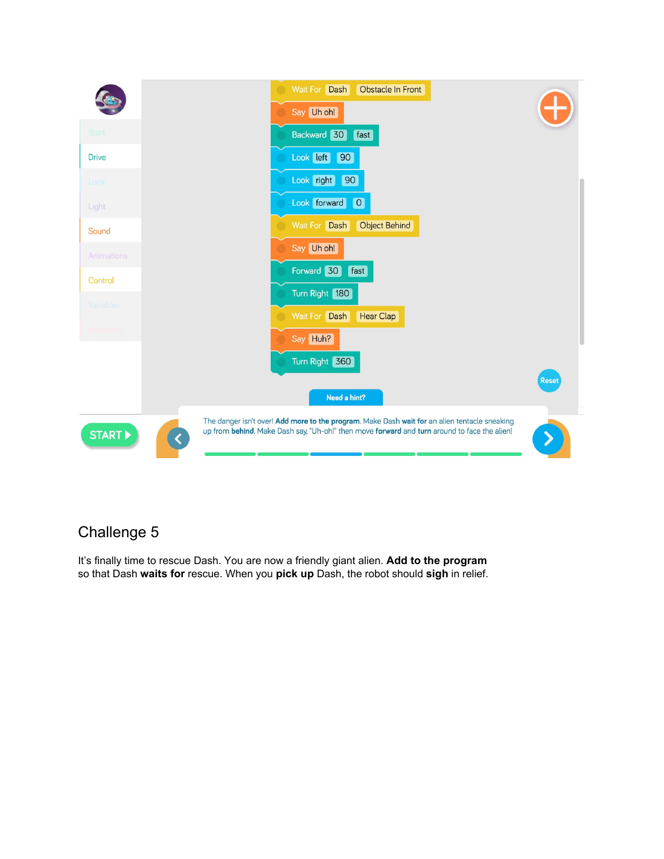

It's finally time to rescue Dash. You are now a friendly giant alien. **Add to the program** so that Dash **waits for** rescue. When you **pick up** Dash, the robot should **sigh** in relief.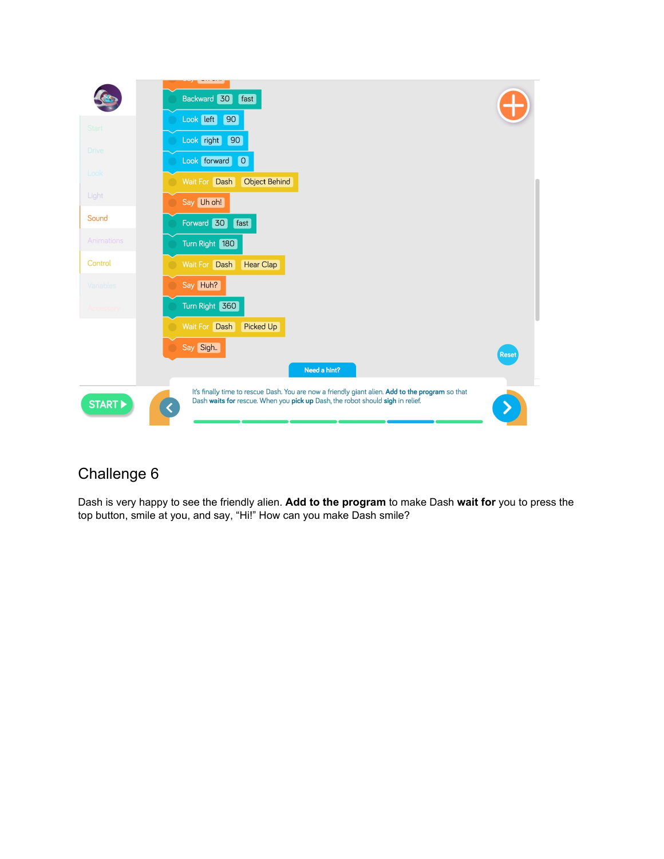|            | Backward 30<br>fast                                                                                                                                                                     |              |
|------------|-----------------------------------------------------------------------------------------------------------------------------------------------------------------------------------------|--------------|
| Start      | Look left 90                                                                                                                                                                            |              |
| Drive      | Look right<br>90                                                                                                                                                                        |              |
|            | Look forward 0                                                                                                                                                                          |              |
| Look       | Wait For Dash<br><b>Object Behind</b>                                                                                                                                                   |              |
| Light      | Say Uh oh!                                                                                                                                                                              |              |
| Sound      | Forward 30<br>fast                                                                                                                                                                      |              |
| Animations | Turn Right 180                                                                                                                                                                          |              |
| Control    | Wait For Dash<br>Hear Clap                                                                                                                                                              |              |
| Variables  | Say Huh?                                                                                                                                                                                |              |
| Accessory  | Turn Right 360                                                                                                                                                                          |              |
|            | Wait For Dash<br><b>Picked Up</b>                                                                                                                                                       |              |
|            | Say Sigh                                                                                                                                                                                | <b>Reset</b> |
|            | Need a hint?                                                                                                                                                                            |              |
| START      | It's finally time to rescue Dash. You are now a friendly giant alien. Add to the program so that<br>Dash waits for rescue. When you pick up Dash, the robot should sigh in relief.<br>≺ |              |

Dash is very happy to see the friendly alien. **Add to the program** to make Dash **wait for** you to press the top button, smile at you, and say, "Hi!" How can you make Dash smile?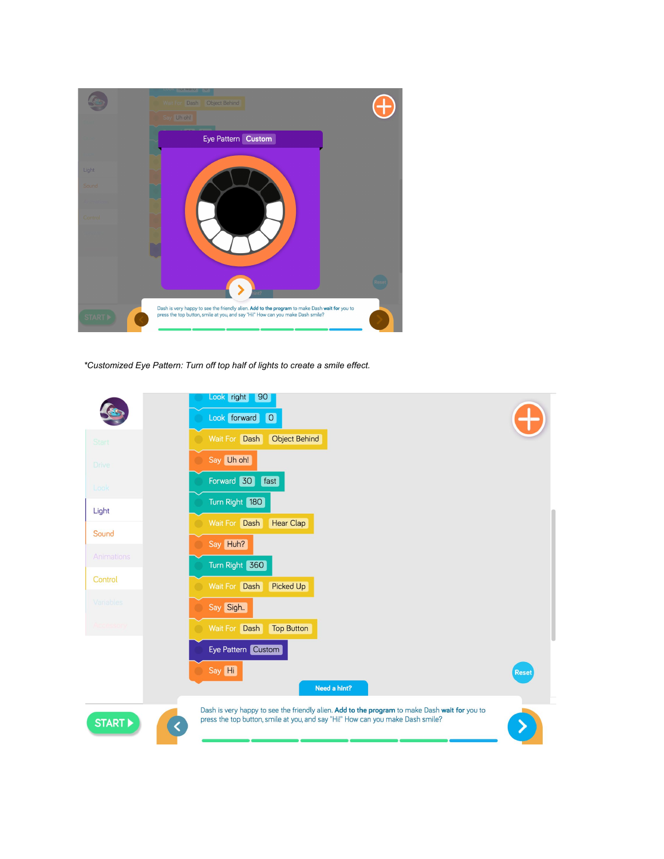

*\*Customized Eye Pattern: Turn off top half of lights to create a smile effect.*